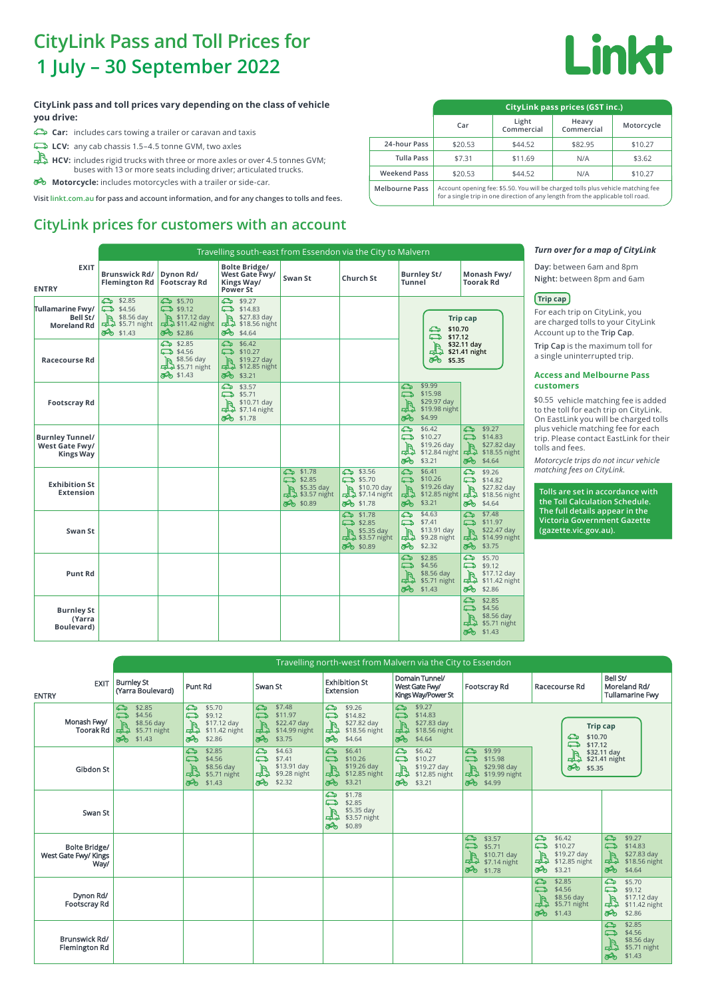## **CityLink Pass and Toll Prices for**

# **Linkt**

#### **CityLink pass and toll prices vary depending on the class of vehicle you drive:**

- **Car:** includes cars towing a trailer or caravan and taxis
- **LCV:** any cab chassis 1.5–4.5 tonne GVM, two axles

**Brunswick Rd/ Flemington Rd**

**EXIT**

**ENTRY**

**Tullamarine Fwy/ Bell St/ Moreland Rd**

**Visit linkt.com.au for pass and account information, and for any changes to tolls and fees.**

## **CityLink prices for customers with an account**

Ca \$2.85  $\overline{6}$  \$5.70  $\overline{6}$  \$9.27<br>
Ca \$4.56 day  $\overline{1}$  \$17.12 day  $\overline{1}$  \$14.83 day<br>  $\overline{1}$  \$8.56 day  $\overline{1}$  \$17.12 day  $\overline{1}$  \$2.856 night<br>  $\overline{3}$  \$1.43  $\overline{3}$  \$2.86  $\overline{3}$  \$4.64  $\overline{3}$ 

**Bolte Bridge/ West Gate Fwy/ Kings Way/ Power St**

**Dynon Rd/ Footscray Rd**

Travelling south-east from Essendon via the City to Malvern

13 \$4.56 day<br>
13 \$4.56 day<br>
13 \$5.56 day<br>
14.3 6 \$5.71 night<br>
14.3 6 \$2.28 6 \$4.64<br>
14.3 6 \$2.28 6 \$4.64<br>
14.3 6 \$2.28 6 \$4.64<br>
14.3 6 \$2.28 6 \$4.64<br>
14.57 11 day<br>
14.55 day<br>
14.55 day<br>
14.55.71 night<br>
14.56 day<br>
14.57 11.

**Swan St Church St Burnley St/**

**Tunnel**

| 1 July – 30 September 2022                                                                                                                                             |                                 |                                                                                                                                                                     |                     |                     | <b>SUUNI</b> |  |  |
|------------------------------------------------------------------------------------------------------------------------------------------------------------------------|---------------------------------|---------------------------------------------------------------------------------------------------------------------------------------------------------------------|---------------------|---------------------|--------------|--|--|
| ityLink pass and toll prices vary depending on the class of vehicle.                                                                                                   | CityLink pass prices (GST inc.) |                                                                                                                                                                     |                     |                     |              |  |  |
| ou drive:<br>$\Rightarrow$ Car: includes cars towing a trailer or caravan and taxis                                                                                    |                                 | Car                                                                                                                                                                 | Light<br>Commercial | Heavy<br>Commercial | Motorcycle   |  |  |
| $\rightarrow$ LCV: any cab chassis 1.5-4.5 tonne GVM, two axles                                                                                                        | 24-hour Pass                    | \$20.53                                                                                                                                                             | \$44.52             | \$82.95             | \$10.27      |  |  |
| $\mathbb{R}$ HCV: includes rigid trucks with three or more axles or over 4.5 tonnes GVM;                                                                               | <b>Tulla Pass</b>               | \$7.31                                                                                                                                                              | \$11.69             | N/A                 | \$3.62       |  |  |
| buses with 13 or more seats including driver; articulated trucks.                                                                                                      | <b>Weekend Pass</b>             | \$20.53                                                                                                                                                             | \$44.52             | N/A                 | \$10.27      |  |  |
| $\clubsuit$ Motorcycle: includes motorcycles with a trailer or side-car.<br>isit linkt.com.au for pass and account information, and for any changes to tolls and fees. | <b>Melbourne Pass</b>           | Account opening fee: \$5.50. You will be charged tolls plus vehicle matching fee<br>for a single trip in one direction of any length from the applicable toll road. |                     |                     |              |  |  |

**Monash Fwy/ Toorak Rd**

**Trip cap**

#### *Turn over for a map of CityLink*

**Day:** between 6am and 8pm **Night:** between 8pm and 6am

#### **Trip cap**

For each trip on CityLink, you are charged tolls to your CityLink Account up to the **Trip Cap**.

#### **Access and Melbourne Pass customers**

| <b>IVIUI CIAIIU NU</b>                                | $\vec{a}$ \$1.43                                                                    | 80 \$2.86                                                   | 66634.64                                                                 |                             |                                                                                       |                                                                                                     |                                                 | \$10.70<br>ఈ<br>ౚ<br>\$17.12                                  |                                                                                     |                               | Account up to the Trip Cap.                                |                                                                                                                         |
|-------------------------------------------------------|-------------------------------------------------------------------------------------|-------------------------------------------------------------|--------------------------------------------------------------------------|-----------------------------|---------------------------------------------------------------------------------------|-----------------------------------------------------------------------------------------------------|-------------------------------------------------|---------------------------------------------------------------|-------------------------------------------------------------------------------------|-------------------------------|------------------------------------------------------------|-------------------------------------------------------------------------------------------------------------------------|
| <b>Racecourse Rd</b>                                  |                                                                                     | 53.85<br>\$4.56<br>$\overline{B}$ \$8.56 day<br>55.71 night | $5 - 12$<br>$53$ \$10.27<br>1 <b>A</b> \$19.27 day<br>$-3$ \$12.85 night |                             |                                                                                       |                                                                                                     |                                                 | R.<br>ᢡ<br>ఈ<br>\$5.35                                        | \$32.11 day<br>\$21.41 night                                                        |                               | a single uninterrupted trip.                               | Trip Cap is the maximum toll for                                                                                        |
|                                                       |                                                                                     | <b>මෙන</b> \$1.43                                           | 3-0 \$3.21<br>\$3.57                                                     |                             |                                                                                       |                                                                                                     | ఊ                                               | \$9.99                                                        |                                                                                     |                               | <b>customers</b>                                           | <b>Access and Melbourne Pass</b>                                                                                        |
| <b>Footscray Rd</b>                                   |                                                                                     |                                                             | <b>D</b> \$5.71<br>$-3 - 14$ night<br><b>මෙන</b> \$1.78                  | \$10.71 day                 |                                                                                       |                                                                                                     | దా<br>ఈ                                         | \$15.98<br>\$29.97 day<br>\$29.97 day<br>\$4.99               |                                                                                     |                               |                                                            | \$0.55 vehicle matching fee is added<br>to the toll for each trip on CityLink.<br>On EastLink you will be charged tolls |
| <b>Burnley Tunnel/</b><br>West Gate Fwy/<br>Kings Way |                                                                                     |                                                             |                                                                          |                             |                                                                                       |                                                                                                     | డి⊳<br>దా<br>3-0 \$3.21                         | \$6.42<br>\$10.27<br>$\frac{1}{2}$ \$19.26 day                | <b>టి</b> \$9.27<br>\$14.83<br>\$27.82 day<br>\$18.55 night<br>\$4.64               |                               | tolls and fees.                                            | plus vehicle matching fee for each<br>trip. Please contact EastLink for their<br>Motorcycle trips do not incur vehicle  |
| <b>Exhibition St</b><br>Extension                     |                                                                                     |                                                             |                                                                          |                             | <b>టెం</b> \$1.78<br>\$2.85<br>la \$5.35 day<br>\$3.57 night<br><del>බ</del> ේ \$0.89 | <del>ඨ</del> ා \$3.56<br>\$5.70<br>\$10.70 day<br><b>ම</b> ේ \$1.78                                 | ఉ<br>ౚ<br>33.21                                 | \$6.41<br>\$10.26<br>\$19.26 day<br>$\frac{1}{6}$ \$19.26 day | \$9.26<br>$5 - 14.82$<br>\$27.82 day<br>品<br>\$18.56 night<br><del>බ</del> ේ \$4.64 |                               | matching fees on CityLink.                                 | Tolls are set in accordance with<br>the Toll Calculation Schedule.                                                      |
| Swan St                                               |                                                                                     |                                                             |                                                                          |                             |                                                                                       | <b>టెం</b> \$1.78<br>\$2.85<br>$\mathbb{R}$ \$5.35 day<br>53.57 night<br><b>ම</b> ේ \$0.89          | $\frac{1}{20}$ \$4.63<br>ౚ<br>32.32             | \$7.41<br>\$13.91 day<br>\$9.28 night                         | $5 - 12$<br>\$11.97<br>ౚ<br>\$22.47 day<br>品<br>\$14.99 night<br>33.75              |                               | (gazette.vic.gov.au).                                      | The full details appear in the<br><b>Victoria Government Gazette</b>                                                    |
| <b>Punt Rd</b>                                        |                                                                                     |                                                             |                                                                          |                             |                                                                                       |                                                                                                     | 52.85<br>ౚ<br>3 \$1.43                          | \$4.56<br>$\frac{1}{2}$ \$8.56 day                            | 5.70<br>ౚ<br>\$9.12<br>\$17.12 day<br>品<br>\$11.42 night<br>32.86                   |                               |                                                            |                                                                                                                         |
| <b>Burnley St</b><br>(Yarra<br>Boulevard)             |                                                                                     |                                                             |                                                                          |                             |                                                                                       |                                                                                                     |                                                 |                                                               | \$2.85<br>\$4.56<br>$\frac{1}{2}$ \$8.56 day<br>\$1.43                              |                               |                                                            |                                                                                                                         |
|                                                       |                                                                                     |                                                             |                                                                          |                             |                                                                                       |                                                                                                     |                                                 |                                                               |                                                                                     |                               |                                                            |                                                                                                                         |
|                                                       |                                                                                     |                                                             |                                                                          |                             |                                                                                       |                                                                                                     |                                                 |                                                               |                                                                                     |                               |                                                            |                                                                                                                         |
|                                                       |                                                                                     |                                                             |                                                                          |                             |                                                                                       | Travelling north-west from Malvern via the City to Essendon                                         |                                                 |                                                               |                                                                                     |                               |                                                            |                                                                                                                         |
| <b>ENTRY</b>                                          | <b>Burnley St</b><br><b>EXIT</b><br>(Yarra Boulevard)                               | Punt Rd                                                     |                                                                          | Swan St                     |                                                                                       | <b>Exhibition St</b><br>Extension                                                                   | Domain Tunnel/<br>West Gate Fwy/                | Kings Way/Power St                                            | Footscray Rd                                                                        |                               | Racecourse Rd                                              | Bell St/<br>Moreland Rd/<br><b>Tullamarine Fwy</b>                                                                      |
| Monash Fwy/<br>Toorak Rd                              | ౚ<br>\$2.85<br>దా<br>\$4.56<br>\$8.56 day<br>\$5.71 night<br>ᇜ<br><b>මෙන</b> \$1.43 | ౚ<br>ౚ<br>ఈ                                                 | \$5.70<br>\$9.12<br>\$17.12 day<br>$-6 - 11.42$ night<br>\$2.86          | ≏⊶<br>ౚ<br>品<br>ఈ           | \$7.48<br>\$11.97<br>\$22.47 day<br>\$14.99 night<br>\$3.75                           | ౚ<br>\$9.26<br>దా<br>\$14.82<br>\$27.82 day<br>品<br>\$18.56 night<br>௸<br>\$4.64                    | \$9.27<br>♧<br>\$14.83<br>ౚ<br>品<br>௯<br>\$4.64 | \$27.83 day<br>\$18.56 night                                  |                                                                                     |                               | ౚ<br>\$10.70                                               | <b>Trip cap</b>                                                                                                         |
| Gibdon St                                             |                                                                                     | ≏<br>ౚ<br>ᢡ<br>3 \$1.43                                     | \$2.85<br>\$4.56<br>\$8.56 day<br>\$5.71 night                           | ౚ<br>ౚ<br><b>මෙන</b> \$2.32 | \$4.63<br>\$7.41<br>\$13.91 day<br>\$9.28 night                                       | ౚ<br>\$6.41<br>\$10.26<br>ౚ<br>\$19.26 day<br>品<br>\$12.85 night<br>ൿ<br>\$3.21                     | ౚ<br>\$6.42<br>\$10.27<br>ౚ<br>33.21            | $\frac{1}{2}$ \$19.27 day                                     | ౚ<br>\$9.99<br>\$15.98<br>ౚ<br>\$29.98 day<br>519.99 night<br><b>මහි</b> \$4.99     |                               | ౚ<br>\$17.12<br>$\frac{1}{2}$ \$32.11 day<br>తాం<br>\$5.35 | \$32.11 day                                                                                                             |
| Swan St                                               |                                                                                     |                                                             |                                                                          |                             |                                                                                       | ౚ<br>\$1.78<br>ౚ<br>\$2.85<br>\$5.35 day<br><b>I</b> a<br>$-4 - 1$ \$3.57 night<br><b>Po</b> \$0.89 |                                                 |                                                               |                                                                                     |                               |                                                            |                                                                                                                         |
| <b>Bolte Bridge/</b><br>West Gate Fwy/ Kings          | Way/                                                                                |                                                             |                                                                          |                             |                                                                                       |                                                                                                     |                                                 |                                                               | \$3.57<br>$\overline{6}$ \$5.71<br>$\frac{1}{2}$ \$10.71 day<br>30 \$1.78           | ౚ<br>ౚ<br>la.<br>33.21        | \$6.42<br>\$10.27<br>\$19.27 day<br>$-4 - 12.85$ night     | ≏<br>\$9.27<br>$5 - 14.83$<br>\$27.83 day<br>IA.<br>$-6 - 18.56$ night<br>34.64                                         |
| Dynon Rd/<br><b>Footscray Rd</b>                      |                                                                                     |                                                             |                                                                          |                             |                                                                                       |                                                                                                     |                                                 |                                                               |                                                                                     | 532.85<br>\$4.56<br>30 \$1.43 | \$8.56 day<br>45.71 night                                  | 5.70<br>53.12<br>$\frac{1}{2}$ \$17.12 day<br>30 \$2.86                                                                 |